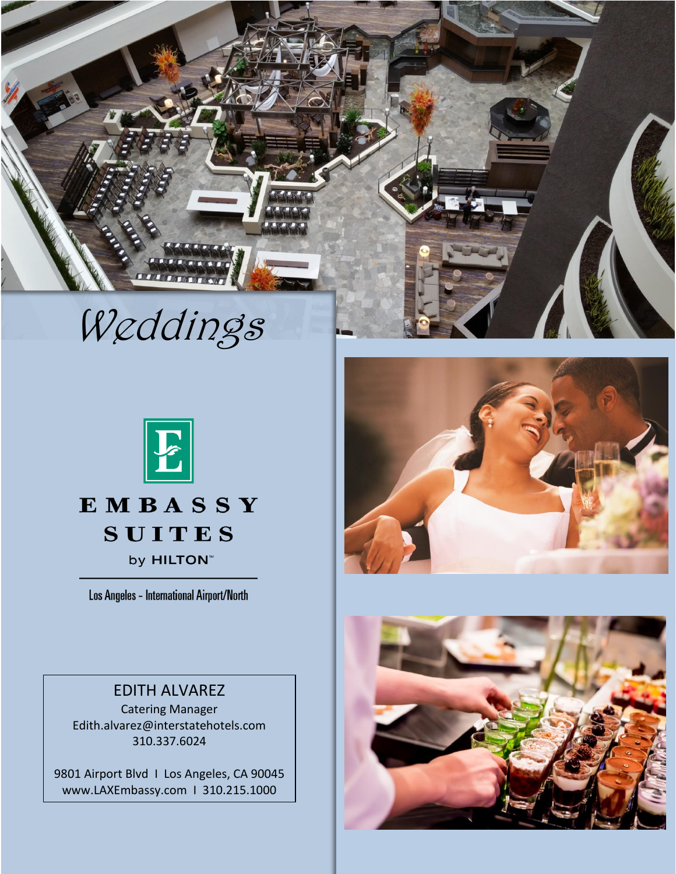

Weddings



# **EMBASSY SUITES** by **HILTON**<sup>™</sup>

Los Angeles - International Airport/North

### EDITH ALVAREZ

Catering Manager Edith.alvarez@interstatehotels.com 310.337.6024

9801 Airport Blvd I Los Angeles, CA 90045 [www.LAXEmbassy.com](http://www.laxembassy.com/) I 310.215.1000



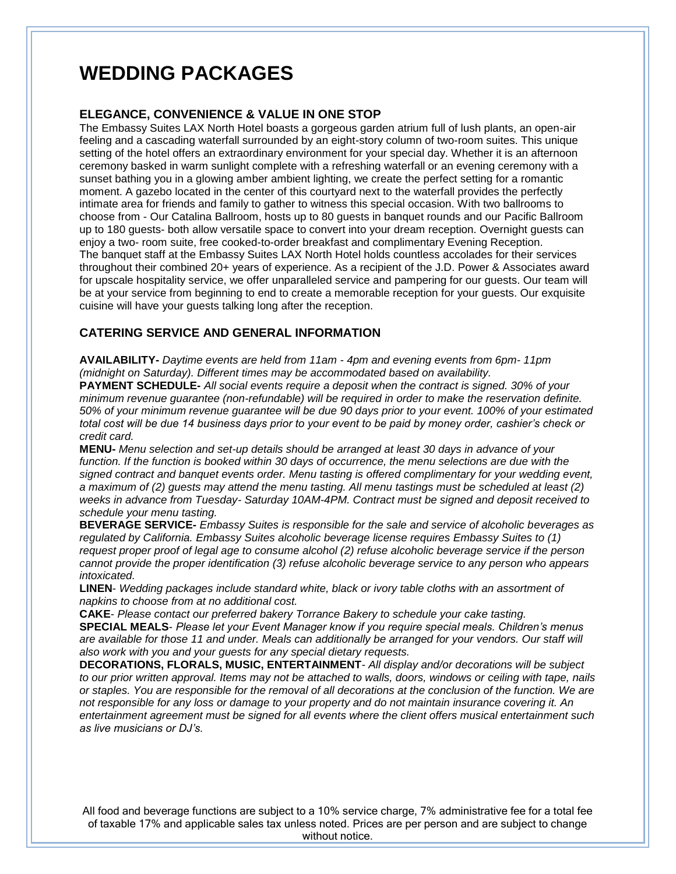# **WEDDING PACKAGES**

#### **ELEGANCE, CONVENIENCE & VALUE IN ONE STOP**

The Embassy Suites LAX North Hotel boasts a gorgeous garden atrium full of lush plants, an open-air feeling and a cascading waterfall surrounded by an eight-story column of two-room suites. This unique setting of the hotel offers an extraordinary environment for your special day. Whether it is an afternoon ceremony basked in warm sunlight complete with a refreshing waterfall or an evening ceremony with a sunset bathing you in a glowing amber ambient lighting, we create the perfect setting for a romantic moment. A gazebo located in the center of this courtyard next to the waterfall provides the perfectly intimate area for friends and family to gather to witness this special occasion. With two ballrooms to choose from - Our Catalina Ballroom, hosts up to 80 guests in banquet rounds and our Pacific Ballroom up to 180 guests- both allow versatile space to convert into your dream reception. Overnight guests can enjoy a two- room suite, free cooked-to-order breakfast and complimentary Evening Reception. The banquet staff at the Embassy Suites LAX North Hotel holds countless accolades for their services throughout their combined 20+ years of experience. As a recipient of the J.D. Power & Associates award for upscale hospitality service, we offer unparalleled service and pampering for our guests. Our team will be at your service from beginning to end to create a memorable reception for your guests. Our exquisite cuisine will have your guests talking long after the reception.

### **CATERING SERVICE AND GENERAL INFORMATION**

**AVAILABILITY-** *Daytime events are held from 11am - 4pm and evening events from 6pm- 11pm (midnight on Saturday). Different times may be accommodated based on availability.*

**PAYMENT SCHEDULE-** *All social events require a deposit when the contract is signed. 30% of your minimum revenue guarantee (non-refundable) will be required in order to make the reservation definite. 50% of your minimum revenue guarantee will be due 90 days prior to your event. 100% of your estimated total cost will be due 14 business days prior to your event to be paid by money order, cashier's check or credit card.*

**MENU-** *Menu selection and set-up details should be arranged at least 30 days in advance of your function. If the function is booked within 30 days of occurrence, the menu selections are due with the signed contract and banquet events order. Menu tasting is offered complimentary for your wedding event, a maximum of (2) guests may attend the menu tasting. All menu tastings must be scheduled at least (2) weeks in advance from Tuesday- Saturday 10AM-4PM. Contract must be signed and deposit received to schedule your menu tasting.*

**BEVERAGE SERVICE-** *Embassy Suites is responsible for the sale and service of alcoholic beverages as regulated by California. Embassy Suites alcoholic beverage license requires Embassy Suites to (1) request proper proof of legal age to consume alcohol (2) refuse alcoholic beverage service if the person cannot provide the proper identification (3) refuse alcoholic beverage service to any person who appears intoxicated.*

**LINEN**- *Wedding packages include standard white, black or ivory table cloths with an assortment of napkins to choose from at no additional cost.*

**CAKE**- *Please contact our preferred bakery Torrance Bakery to schedule your cake tasting.*

**SPECIAL MEALS**- *Please let your Event Manager know if you require special meals. Children's menus are available for those 11 and under. Meals can additionally be arranged for your vendors. Our staff will also work with you and your guests for any special dietary requests.*

**DECORATIONS, FLORALS, MUSIC, ENTERTAINMENT**- *All display and/or decorations will be subject to our prior written approval. Items may not be attached to walls, doors, windows or ceiling with tape, nails or staples. You are responsible for the removal of all decorations at the conclusion of the function. We are not responsible for any loss or damage to your property and do not maintain insurance covering it. An entertainment agreement must be signed for all events where the client offers musical entertainment such as live musicians or DJ's.*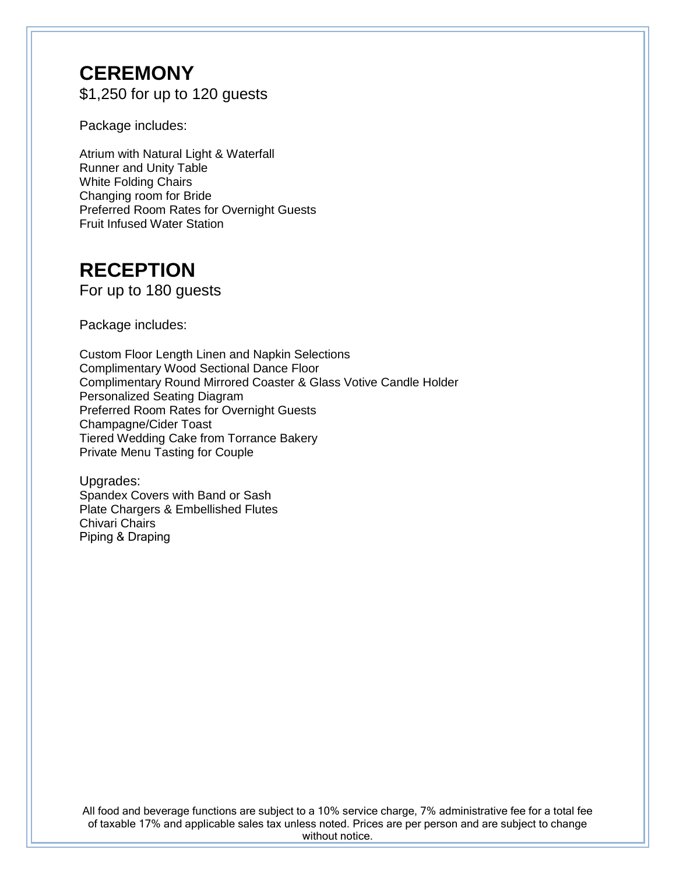### **CEREMONY** \$1,250 for up to 120 guests

Package includes:

Atrium with Natural Light & Waterfall Runner and Unity Table White Folding Chairs Changing room for Bride Preferred Room Rates for Overnight Guests Fruit Infused Water Station

# **RECEPTION**

For up to 180 guests

Package includes:

Custom Floor Length Linen and Napkin Selections Complimentary Wood Sectional Dance Floor Complimentary Round Mirrored Coaster & Glass Votive Candle Holder Personalized Seating Diagram Preferred Room Rates for Overnight Guests Champagne/Cider Toast Tiered Wedding Cake from Torrance Bakery Private Menu Tasting for Couple

Upgrades: Spandex Covers with Band or Sash Plate Chargers & Embellished Flutes Chivari Chairs Piping & Draping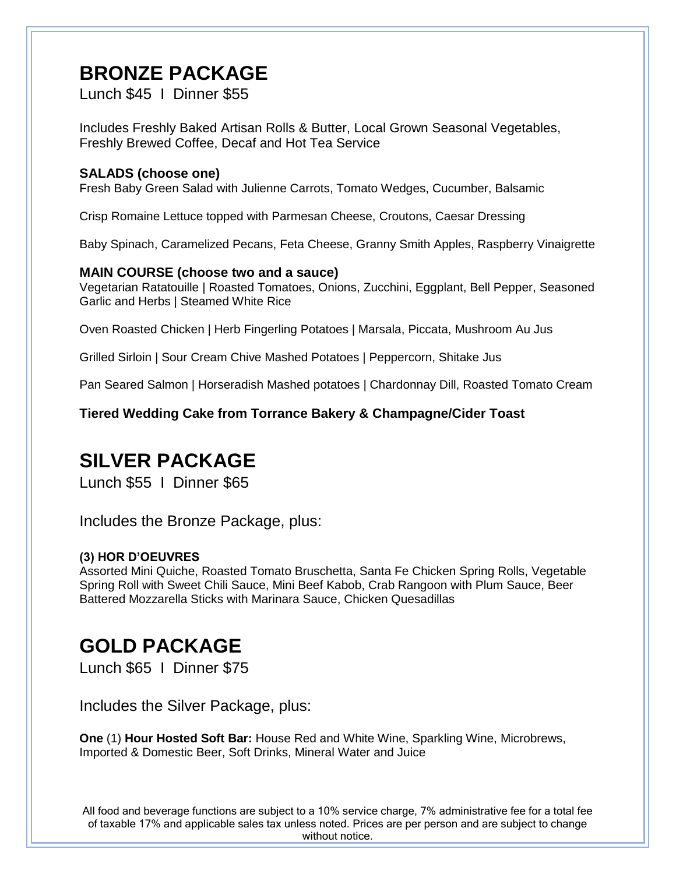### **BRONZE PACKAGE**

Lunch \$45 I Dinner \$55

Includes Freshly Baked Artisan Rolls & Butter, Local Grown Seasonal Vegetables, Freshly Brewed Coffee, Decaf and Hot Tea Service

### **SALADS (choose one)**

Fresh Baby Green Salad with Julienne Carrots, Tomato Wedges, Cucumber, Balsamic

Crisp Romaine Lettuce topped with Parmesan Cheese, Croutons, Caesar Dressing

Baby Spinach, Caramelized Pecans, Feta Cheese, Granny Smith Apples, Raspberry Vinaigrette

### **MAIN COURSE (choose two and a sauce)**

Vegetarian Ratatouille | Roasted Tomatoes, Onions, Zucchini, Eggplant, Bell Pepper, Seasoned Garlic and Herbs | Steamed White Rice

Oven Roasted Chicken | Herb Fingerling Potatoes | Marsala, Piccata, Mushroom Au Jus

Grilled Sirloin | Sour Cream Chive Mashed Potatoes | Peppercorn, Shitake Jus

Pan Seared Salmon | Horseradish Mashed potatoes | Chardonnay Dill, Roasted Tomato Cream

**Tiered Wedding Cake from Torrance Bakery & Champagne/Cider Toast**

### **SILVER PACKAGE**

Lunch \$55 I Dinner \$65

Includes the Bronze Package, plus:

### **(3) HOR D'OEUVRES**

Assorted Mini Quiche, Roasted Tomato Bruschetta, Santa Fe Chicken Spring Rolls, Vegetable Spring Roll with Sweet Chili Sauce, Mini Beef Kabob, Crab Rangoon with Plum Sauce, Beer Battered Mozzarella Sticks with Marinara Sauce, Chicken Quesadillas

# **GOLD PACKAGE**

Lunch \$65 I Dinner \$75

Includes the Silver Package, plus:

**One** (1) **Hour Hosted Soft Bar:** House Red and White Wine, Sparkling Wine, Microbrews, Imported & Domestic Beer, Soft Drinks, Mineral Water and Juice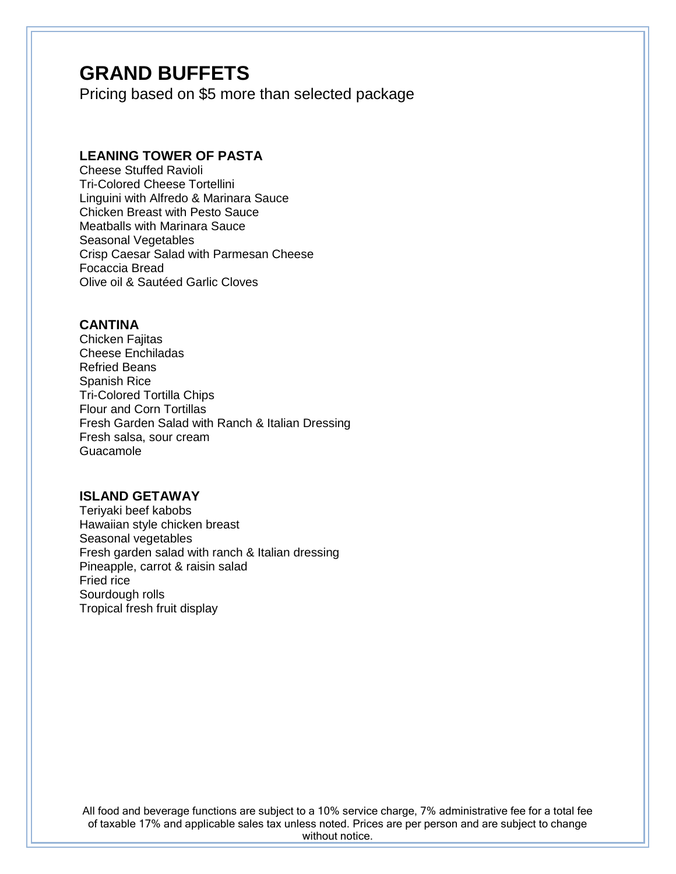### **GRAND BUFFETS**

Pricing based on \$5 more than selected package

### **LEANING TOWER OF PASTA**

Cheese Stuffed Ravioli Tri-Colored Cheese Tortellini Linguini with Alfredo & Marinara Sauce Chicken Breast with Pesto Sauce Meatballs with Marinara Sauce Seasonal Vegetables Crisp Caesar Salad with Parmesan Cheese Focaccia Bread Olive oil & Sautéed Garlic Cloves

### **CANTINA**

Chicken Fajitas Cheese Enchiladas Refried Beans Spanish Rice Tri-Colored Tortilla Chips Flour and Corn Tortillas Fresh Garden Salad with Ranch & Italian Dressing Fresh salsa, sour cream Guacamole

### **ISLAND GETAWAY**

Teriyaki beef kabobs Hawaiian style chicken breast Seasonal vegetables Fresh garden salad with ranch & Italian dressing Pineapple, carrot & raisin salad Fried rice Sourdough rolls Tropical fresh fruit display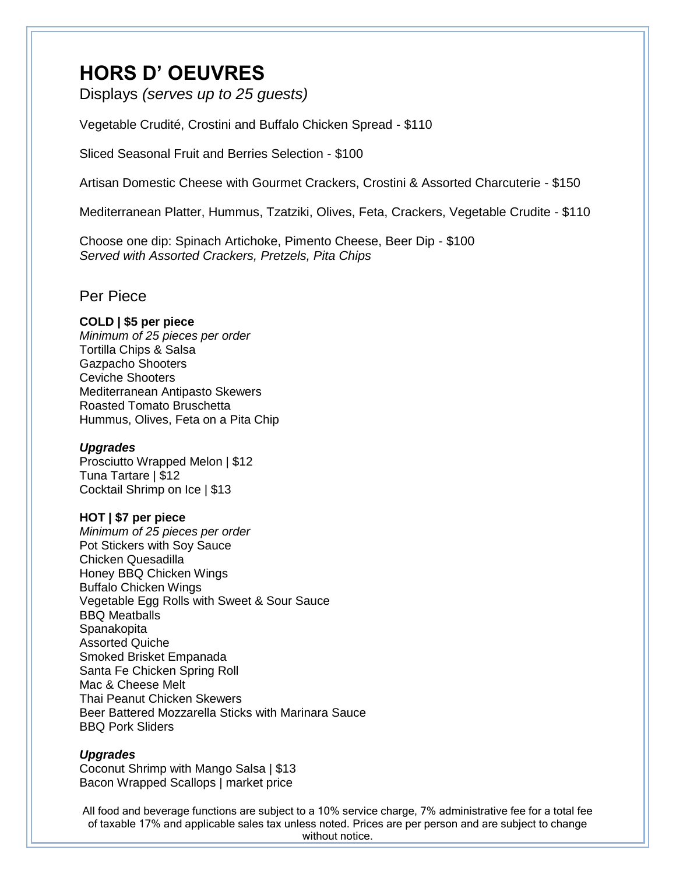### **HORS D' OEUVRES**

Displays *(serves up to 25 guests)*

Vegetable Crudité, Crostini and Buffalo Chicken Spread - \$110

Sliced Seasonal Fruit and Berries Selection - \$100

Artisan Domestic Cheese with Gourmet Crackers, Crostini & Assorted Charcuterie - \$150

Mediterranean Platter, Hummus, Tzatziki, Olives, Feta, Crackers, Vegetable Crudite - \$110

Choose one dip: Spinach Artichoke, Pimento Cheese, Beer Dip - \$100 *Served with Assorted Crackers, Pretzels, Pita Chips* 

### Per Piece

#### **COLD | \$5 per piece**

*Minimum of 25 pieces per order*  Tortilla Chips & Salsa Gazpacho Shooters Ceviche Shooters Mediterranean Antipasto Skewers Roasted Tomato Bruschetta Hummus, Olives, Feta on a Pita Chip

#### *Upgrades*

Prosciutto Wrapped Melon | \$12 Tuna Tartare | \$12 Cocktail Shrimp on Ice | \$13

### **HOT | \$7 per piece**

*Minimum of 25 pieces per order*  Pot Stickers with Soy Sauce Chicken Quesadilla Honey BBQ Chicken Wings Buffalo Chicken Wings Vegetable Egg Rolls with Sweet & Sour Sauce BBQ Meatballs Spanakopita Assorted Quiche Smoked Brisket Empanada Santa Fe Chicken Spring Roll Mac & Cheese Melt Thai Peanut Chicken Skewers Beer Battered Mozzarella Sticks with Marinara Sauce BBQ Pork Sliders

#### *Upgrades*

Coconut Shrimp with Mango Salsa | \$13 Bacon Wrapped Scallops | market price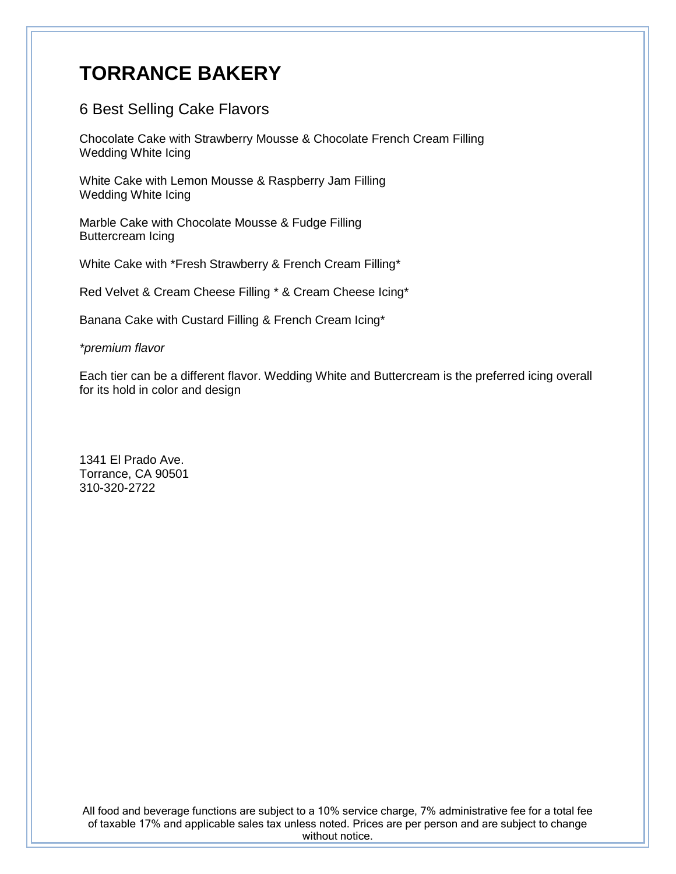# **TORRANCE BAKERY**

### 6 Best Selling Cake Flavors

Chocolate Cake with Strawberry Mousse & Chocolate French Cream Filling Wedding White Icing

White Cake with Lemon Mousse & Raspberry Jam Filling Wedding White Icing

Marble Cake with Chocolate Mousse & Fudge Filling Buttercream Icing

White Cake with \*Fresh Strawberry & French Cream Filling\*

Red Velvet & Cream Cheese Filling \* & Cream Cheese Icing\*

Banana Cake with Custard Filling & French Cream Icing\*

*\*premium flavor* 

Each tier can be a different flavor. Wedding White and Buttercream is the preferred icing overall for its hold in color and design

1341 El Prado Ave. Torrance, CA 90501 310-320-2722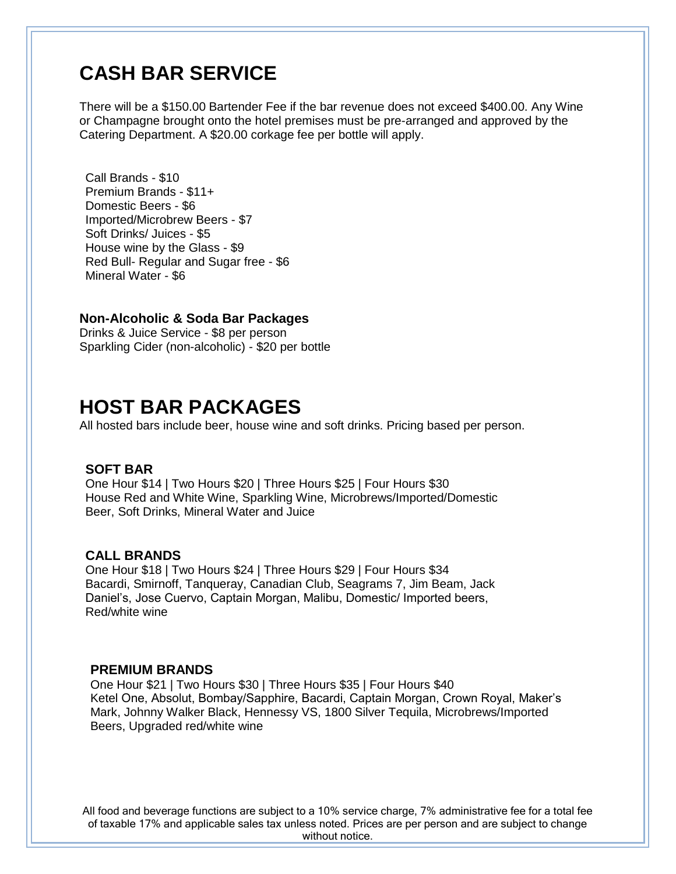# **CASH BAR SERVICE**

There will be a \$150.00 Bartender Fee if the bar revenue does not exceed \$400.00. Any Wine or Champagne brought onto the hotel premises must be pre-arranged and approved by the Catering Department. A \$20.00 corkage fee per bottle will apply.

Call Brands - \$10 Premium Brands - \$11+ Domestic Beers - \$6 Imported/Microbrew Beers - \$7 Soft Drinks/ Juices - \$5 House wine by the Glass - \$9 Red Bull- Regular and Sugar free - \$6 Mineral Water - \$6

#### **Non-Alcoholic & Soda Bar Packages**

Drinks & Juice Service - \$8 per person Sparkling Cider (non-alcoholic) - \$20 per bottle

### **HOST BAR PACKAGES**

All hosted bars include beer, house wine and soft drinks. Pricing based per person.

### **SOFT BAR**

One Hour \$14 | Two Hours \$20 | Three Hours \$25 | Four Hours \$30 House Red and White Wine, Sparkling Wine, Microbrews/Imported/Domestic Beer, Soft Drinks, Mineral Water and Juice

#### **CALL BRANDS**

One Hour \$18 | Two Hours \$24 | Three Hours \$29 | Four Hours \$34 Bacardi, Smirnoff, Tanqueray, Canadian Club, Seagrams 7, Jim Beam, Jack Daniel's, Jose Cuervo, Captain Morgan, Malibu, Domestic/ Imported beers, Red/white wine

#### **PREMIUM BRANDS**

One Hour \$21 | Two Hours \$30 | Three Hours \$35 | Four Hours \$40 Ketel One, Absolut, Bombay/Sapphire, Bacardi, Captain Morgan, Crown Royal, Maker's Mark, Johnny Walker Black, Hennessy VS, 1800 Silver Tequila, Microbrews/Imported Beers, Upgraded red/white wine